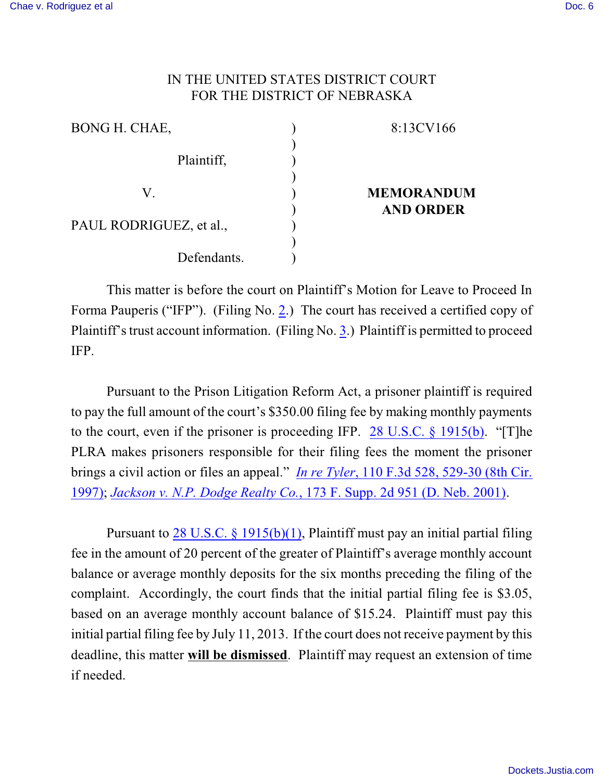## IN THE UNITED STATES DISTRICT COURT FOR THE DISTRICT OF NEBRASKA

| BONG H. CHAE,           | 8:13CV166         |
|-------------------------|-------------------|
| Plaintiff,              |                   |
| V                       | <b>MEMORANDUM</b> |
| PAUL RODRIGUEZ, et al., | <b>AND ORDER</b>  |
| Defendants.             |                   |

This matter is before the court on Plaintiff's Motion for Leave to Proceed In Forma Pauperis ("IFP"). (Filing No. [2](http://ecf.ned.uscourts.gov/doc1/11302792603).) The court has received a certified copy of Plaintiff's trust account information. (Filing No. [3](http://ecf.ned.uscourts.gov/doc1/11302792606).) Plaintiff is permitted to proceed IFP.

Pursuant to the Prison Litigation Reform Act, a prisoner plaintiff is required to pay the full amount of the court's \$350.00 filing fee by making monthly payments to the court, even if the prisoner is proceeding IFP. 28 [U.S.C. §](http://www.westlaw.com/find/default.wl?rs=CLWP3.0&vr=2.0&cite=28+USCA+s+1915%28b%29) 1915(b). "[T]he PLRA makes prisoners responsible for their filing fees the moment the prisoner brings a civil action or files an appeal." *In re Tyler*, 110 F.3d [528, 529-30 \(8th Cir.](http://www.westlaw.com/find/default.wl?rs=CLWP3.0&vr=2.0&cite=110+F.3d+528) [1997\)](http://www.westlaw.com/find/default.wl?rs=CLWP3.0&vr=2.0&cite=110+F.3d+528); *[Jackson v. N.P. Dodge Realty Co.](http://www.westlaw.com/find/default.wl?rs=CLWP3.0&vr=2.0&cite=173+F.Supp.2d+951)*, 173 F. Supp. 2d 951 (D. Neb. 2001).

Pursuant to [28 U.S.C. § 1915\(b\)\(1\)](http://web2.westlaw.com/find/default.wl?fn=_top&rs=WLW8.08&rp=%2ffind%2fdefault.wl&mt=Westlaw&vr=2.0&sv=Split&cite=28+usc+section+1915), Plaintiff must pay an initial partial filing fee in the amount of 20 percent of the greater of Plaintiff's average monthly account balance or average monthly deposits for the six months preceding the filing of the complaint. Accordingly, the court finds that the initial partial filing fee is \$3.05, based on an average monthly account balance of \$15.24. Plaintiff must pay this initial partial filing fee by July 11, 2013. If the court does not receive payment by this deadline, this matter **will be dismissed**. Plaintiff may request an extension of time if needed.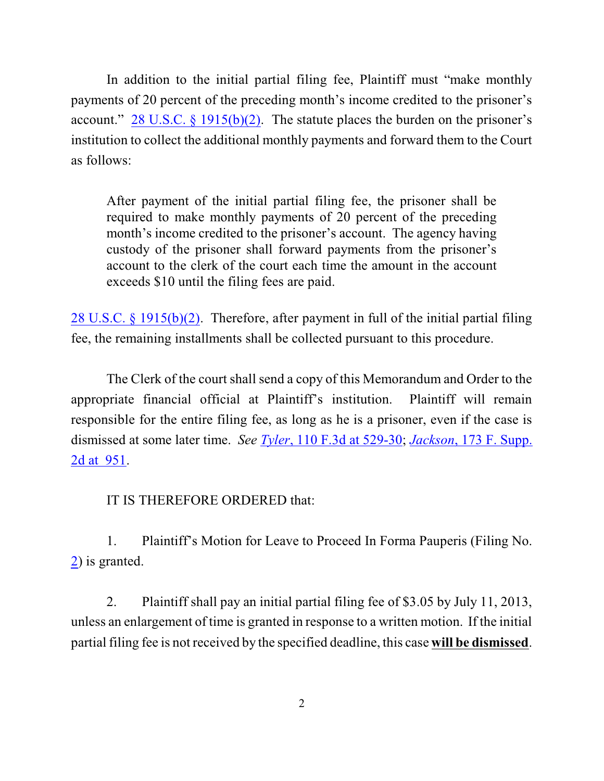In addition to the initial partial filing fee, Plaintiff must "make monthly payments of 20 percent of the preceding month's income credited to the prisoner's account." 28 U.S.C.  $\S$  [1915\(b\)\(2\)](http://web2.westlaw.com/find/default.wl?fn=_top&rs=WLW8.08&rp=%2ffind%2fdefault.wl&mt=Westlaw&vr=2.0&sv=Split&cite=28+usc+section+1915). The statute places the burden on the prisoner's institution to collect the additional monthly payments and forward them to the Court as follows:

After payment of the initial partial filing fee, the prisoner shall be required to make monthly payments of 20 percent of the preceding month's income credited to the prisoner's account. The agency having custody of the prisoner shall forward payments from the prisoner's account to the clerk of the court each time the amount in the account exceeds \$10 until the filing fees are paid.

28 U.S.C. § [1915\(b\)\(2\)](http://web2.westlaw.com/find/default.wl?fn=_top&rs=WLW8.08&rp=%2ffind%2fdefault.wl&mt=Westlaw&vr=2.0&sv=Split&cite=28+usc+section+1915). Therefore, after payment in full of the initial partial filing fee, the remaining installments shall be collected pursuant to this procedure.

The Clerk of the court shall send a copy of this Memorandum and Order to the appropriate financial official at Plaintiff's institution. Plaintiff will remain responsible for the entire filing fee, as long as he is a prisoner, even if the case is dismissed at some later time. *See Tyler*, 110 [F.3d at 529-30](http://www.westlaw.com/find/default.wl?rs=CLWP3.0&vr=2.0&cite=110+F.3d+528); *Jackson*[, 173 F. Supp.](http://www.westlaw.com/find/default.wl?rs=CLWP3.0&vr=2.0&cite=173+F.Supp.2d+951) [2d at 951](http://www.westlaw.com/find/default.wl?rs=CLWP3.0&vr=2.0&cite=173+F.Supp.2d+951).

IT IS THEREFORE ORDERED that:

1. Plaintiff's Motion for Leave to Proceed In Forma Pauperis (Filing No. [2](http://ecf.ned.uscourts.gov/doc1/11302792603)) is granted.

2. Plaintiff shall pay an initial partial filing fee of \$3.05 by July 11, 2013, unless an enlargement of time is granted in response to a written motion. If the initial partial filing fee is not received by the specified deadline, this case **will be dismissed**.